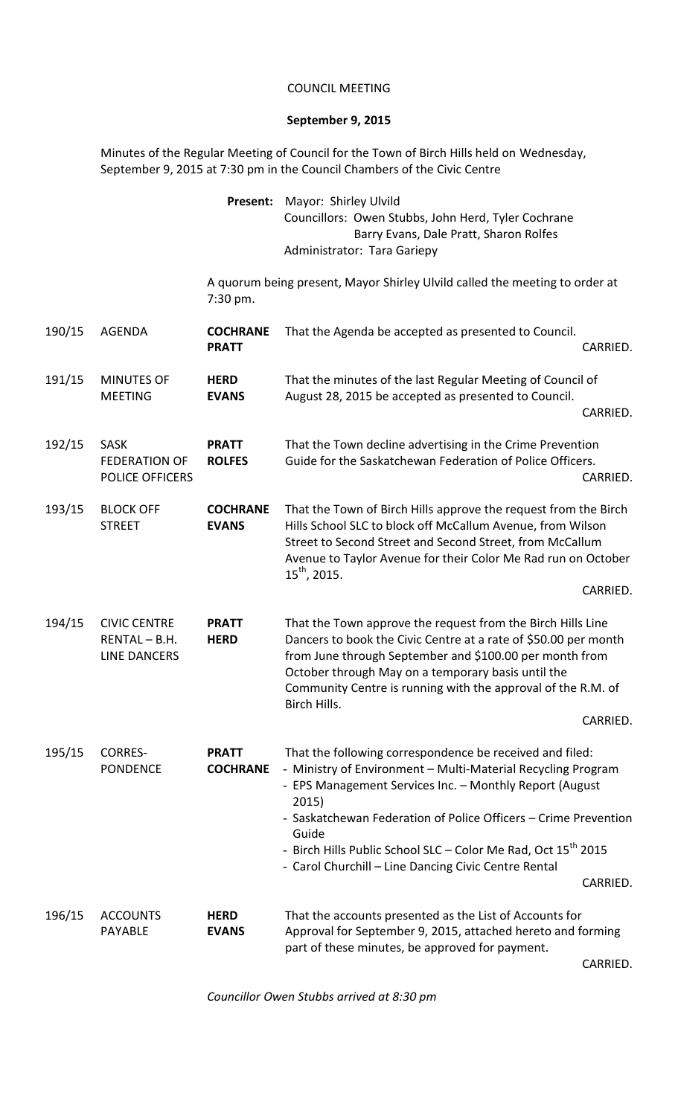## COUNCIL MEETING

## **September 9, 2015**

Minutes of the Regular Meeting of Council for the Town of Birch Hills held on Wednesday, September 9, 2015 at 7:30 pm in the Council Chambers of the Civic Centre

| <b>Present:</b> Mayor: Shirley Ulvild               |  |  |  |
|-----------------------------------------------------|--|--|--|
| Councillors: Owen Stubbs, John Herd, Tyler Cochrane |  |  |  |
| Barry Evans, Dale Pratt, Sharon Rolfes              |  |  |  |
| Administrator: Tara Gariepy                         |  |  |  |

A quorum being present, Mayor Shirley Ulvild called the meeting to order at 7:30 pm.

| 190/15 | <b>AGENDA</b>                                             | <b>COCHRANE</b><br><b>PRATT</b> | That the Agenda be accepted as presented to Council.                                                                                                                                                                                                                                                                                                                                                          | CARRIED. |
|--------|-----------------------------------------------------------|---------------------------------|---------------------------------------------------------------------------------------------------------------------------------------------------------------------------------------------------------------------------------------------------------------------------------------------------------------------------------------------------------------------------------------------------------------|----------|
| 191/15 | <b>MINUTES OF</b>                                         | <b>HERD</b>                     | That the minutes of the last Regular Meeting of Council of                                                                                                                                                                                                                                                                                                                                                    |          |
|        | <b>MEETING</b>                                            | <b>EVANS</b>                    | August 28, 2015 be accepted as presented to Council.                                                                                                                                                                                                                                                                                                                                                          | CARRIED. |
| 192/15 | <b>SASK</b><br><b>FEDERATION OF</b><br>POLICE OFFICERS    | <b>PRATT</b><br><b>ROLFES</b>   | That the Town decline advertising in the Crime Prevention<br>Guide for the Saskatchewan Federation of Police Officers.                                                                                                                                                                                                                                                                                        | CARRIED. |
| 193/15 | <b>BLOCK OFF</b><br><b>STREET</b>                         | <b>COCHRANE</b><br><b>EVANS</b> | That the Town of Birch Hills approve the request from the Birch<br>Hills School SLC to block off McCallum Avenue, from Wilson<br>Street to Second Street and Second Street, from McCallum<br>Avenue to Taylor Avenue for their Color Me Rad run on October<br>$15^{th}$ , 2015.                                                                                                                               | CARRIED. |
| 194/15 | <b>CIVIC CENTRE</b><br>RENTAL-B.H.<br><b>LINE DANCERS</b> | <b>PRATT</b><br><b>HERD</b>     | That the Town approve the request from the Birch Hills Line<br>Dancers to book the Civic Centre at a rate of \$50.00 per month<br>from June through September and \$100.00 per month from<br>October through May on a temporary basis until the<br>Community Centre is running with the approval of the R.M. of<br>Birch Hills.                                                                               | CARRIED. |
| 195/15 | <b>CORRES-</b><br><b>PONDENCE</b>                         | <b>PRATT</b><br><b>COCHRANE</b> | That the following correspondence be received and filed:<br>- Ministry of Environment - Multi-Material Recycling Program<br>- EPS Management Services Inc. - Monthly Report (August<br>2015)<br>- Saskatchewan Federation of Police Officers - Crime Prevention<br>Guide<br>- Birch Hills Public School SLC - Color Me Rad, Oct 15 <sup>th</sup> 2015<br>- Carol Churchill - Line Dancing Civic Centre Rental | CARRIED. |
| 196/15 | <b>ACCOUNTS</b><br><b>PAYABLE</b>                         | <b>HERD</b><br><b>EVANS</b>     | That the accounts presented as the List of Accounts for<br>Approval for September 9, 2015, attached hereto and forming<br>part of these minutes, be approved for payment.                                                                                                                                                                                                                                     |          |

CARRIED.

*Councillor Owen Stubbs arrived at 8:30 pm*